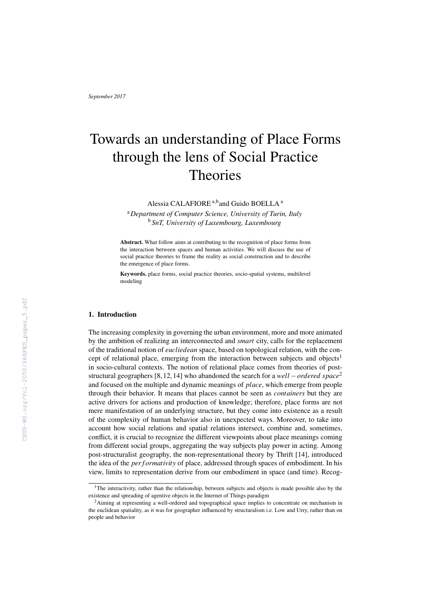# Towards an understanding of Place Forms through the lens of Social Practice **Theories**

Alessia CALAFIORE<sup>a,b</sup>and Guido BOELLA<sup>a</sup>

<sup>a</sup>*Department of Computer Science, University of Turin, Italy* <sup>b</sup> *SnT, University of Luxembourg, Luxembourg*

Abstract. What follow aims at contributing to the recognition of place forms from the interaction between spaces and human activities. We will discuss the use of social practice theories to frame the reality as social construction and to describe the emergence of place forms.

Keywords. place forms, social practice theories, socio-spatial systems, multilevel modeling

## 1. Introduction

The increasing complexity in governing the urban environment, more and more animated by the ambition of realizing an interconnected and *smart* city, calls for the replacement of the traditional notion of *eucliedean* space, based on topological relation, with the concept of relational place, emerging from the interaction between subjects and objects<sup>1</sup> in socio-cultural contexts. The notion of relational place comes from theories of poststructural geographers [8, 12, 14] who abandoned the search for a *well* −*ordered space*<sup>2</sup> and focused on the multiple and dynamic meanings of *place*, which emerge from people through their behavior. It means that places cannot be seen as *containers* but they are active drivers for actions and production of knowledge; therefore, place forms are not mere manifestation of an underlying structure, but they come into existence as a result of the complexity of human behavior also in unexpected ways. Moreover, to take into account how social relations and spatial relations intersect, combine and, sometimes, conflict, it is crucial to recognize the different viewpoints about place meanings coming from different social groups, aggregating the way subjects play power in acting. Among post-structuralist geography, the non-representational theory by Thrift [14], introduced the idea of the *per f ormativity* of place, addressed through spaces of embodiment. In his view, limits to representation derive from our embodiment in space (and time). Recog-

<sup>&</sup>lt;sup>1</sup>The interactivity, rather than the relationship, between subjects and objects is made possible also by the existence and spreading of agentive objects in the Internet of Things paradigm

<sup>&</sup>lt;sup>2</sup>Aiming at representing a well-ordered and topographical space implies to concentrate on mechanism in the euclidean spatiality, as it was for geographer influenced by structuralism i.e. Low and Urry, rather than on people and behavior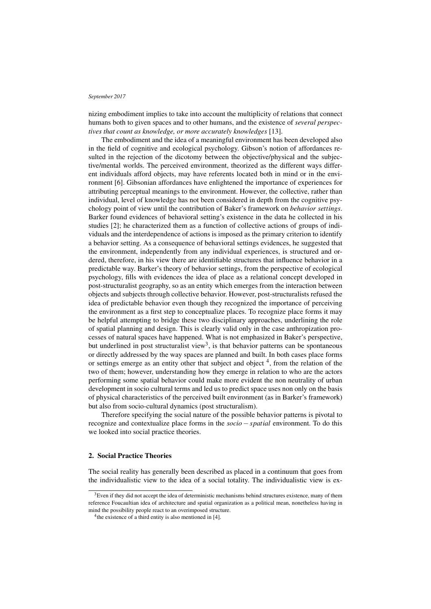nizing embodiment implies to take into account the multiplicity of relations that connect humans both to given spaces and to other humans, and the existence of *several perspectives that count as knowledge, or more accurately knowledges* [13].

The embodiment and the idea of a meaningful environment has been developed also in the field of cognitive and ecological psychology. Gibson's notion of affordances resulted in the rejection of the dicotomy between the objective/physical and the subjective/mental worlds. The perceived environment, theorized as the different ways different individuals afford objects, may have referents located both in mind or in the environment [6]. Gibsonian affordances have enlightened the importance of experiences for attributing perceptual meanings to the environment. However, the collective, rather than individual, level of knowledge has not been considered in depth from the cognitive psychology point of view until the contribution of Baker's framework on *behavior settings*. Barker found evidences of behavioral setting's existence in the data he collected in his studies [2]; he characterized them as a function of collective actions of groups of individuals and the interdependence of actions is imposed as the primary criterion to identify a behavior setting. As a consequence of behavioral settings evidences, he suggested that the environment, independently from any individual experiences, is structured and ordered, therefore, in his view there are identifiable structures that influence behavior in a predictable way. Barker's theory of behavior settings, from the perspective of ecological psychology, fills with evidences the idea of place as a relational concept developed in post-structuralist geography, so as an entity which emerges from the interaction between objects and subjects through collective behavior. However, post-structuralists refused the idea of predictable behavior even though they recognized the importance of perceiving the environment as a first step to conceptualize places. To recognize place forms it may be helpful attempting to bridge these two disciplinary approaches, underlining the role of spatial planning and design. This is clearly valid only in the case anthropization processes of natural spaces have happened. What is not emphasized in Baker's perspective, but underlined in post structuralist view<sup>3</sup>, is that behavior patterns can be spontaneous or directly addressed by the way spaces are planned and built. In both cases place forms or settings emerge as an entity other that subject and object  $4$ , from the relation of the two of them; however, understanding how they emerge in relation to who are the actors performing some spatial behavior could make more evident the non neutrality of urban development in socio cultural terms and led us to predict space uses non only on the basis of physical characteristics of the perceived built environment (as in Barker's framework) but also from socio-cultural dynamics (post structuralism).

Therefore specifying the social nature of the possible behavior patterns is pivotal to recognize and contextualize place forms in the *socio* − *spatial* environment. To do this we looked into social practice theories.

# 2. Social Practice Theories

The social reality has generally been described as placed in a continuum that goes from the individualistic view to the idea of a social totality. The individualistic view is ex-

 $3E$ ven if they did not accept the idea of deterministic mechanisms behind structures existence, many of them reference Foucaultian idea of architecture and spatial organization as a political mean, nonetheless having in mind the possibility people react to an overimposed structure.

<sup>&</sup>lt;sup>4</sup> the existence of a third entity is also mentioned in [4].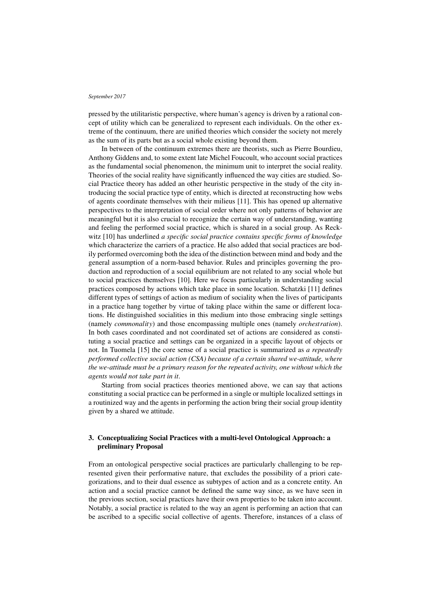pressed by the utilitaristic perspective, where human's agency is driven by a rational concept of utility which can be generalized to represent each individuals. On the other extreme of the continuum, there are unified theories which consider the society not merely as the sum of its parts but as a social whole existing beyond them.

In between of the continuum extremes there are theorists, such as Pierre Bourdieu, Anthony Giddens and, to some extent late Michel Foucoult, who account social practices as the fundamental social phenomenon, the minimum unit to interpret the social reality. Theories of the social reality have significantly influenced the way cities are studied. Social Practice theory has added an other heuristic perspective in the study of the city introducing the social practice type of entity, which is directed at reconstructing how webs of agents coordinate themselves with their milieus [11]. This has opened up alternative perspectives to the interpretation of social order where not only patterns of behavior are meaningful but it is also crucial to recognize the certain way of understanding, wanting and feeling the performed social practice, which is shared in a social group. As Reckwitz [10] has underlined *a specific social practice contains specific forms of knowledge* which characterize the carriers of a practice. He also added that social practices are bodily performed overcoming both the idea of the distinction between mind and body and the general assumption of a norm-based behavior. Rules and principles governing the production and reproduction of a social equilibrium are not related to any social whole but to social practices themselves [10]. Here we focus particularly in understanding social practices composed by actions which take place in some location. Schatzki [11] defines different types of settings of action as medium of sociality when the lives of participants in a practice hang together by virtue of taking place within the same or different locations. He distinguished socialities in this medium into those embracing single settings (namely *commonality*) and those encompassing multiple ones (namely *orchestration*). In both cases coordinated and not coordinated set of actions are considered as constituting a social practice and settings can be organized in a specific layout of objects or not. In Tuomela [15] the core sense of a social practice is summarized as *a repeatedly performed collective social action (CSA) because of a certain shared we-attitude, where the we-attitude must be a primary reason for the repeated activity, one without which the agents would not take part in it*.

Starting from social practices theories mentioned above, we can say that actions constituting a social practice can be performed in a single or multiple localized settings in a routinized way and the agents in performing the action bring their social group identity given by a shared we attitude.

# 3. Conceptualizing Social Practices with a multi-level Ontological Approach: a preliminary Proposal

From an ontological perspective social practices are particularly challenging to be represented given their performative nature, that excludes the possibility of a priori categorizations, and to their dual essence as subtypes of action and as a concrete entity. An action and a social practice cannot be defined the same way since, as we have seen in the previous section, social practices have their own properties to be taken into account. Notably, a social practice is related to the way an agent is performing an action that can be ascribed to a specific social collective of agents. Therefore, instances of a class of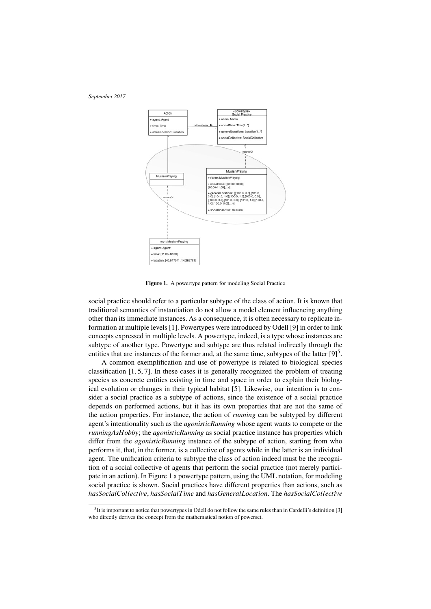

Figure 1. A powertype pattern for modeling Social Practice

social practice should refer to a particular subtype of the class of action. It is known that traditional semantics of instantiation do not allow a model element influencing anything other than its immediate instances. As a consequence, it is often necessary to replicate information at multiple levels [1]. Powertypes were introduced by Odell [9] in order to link concepts expressed in multiple levels. A powertype, indeed, is a type whose instances are subtype of another type. Powertype and subtype are thus related indirectly through the entities that are instances of the former and, at the same time, subtypes of the latter  $[9]^5$ .

A common exemplification and use of powertype is related to biological species classification  $[1, 5, 7]$ . In these cases it is generally recognized the problem of treating species as concrete entities existing in time and space in order to explain their biological evolution or changes in their typical habitat [5]. Likewise, our intention is to consider a social practice as a subtype of actions, since the existence of a social practice depends on performed actions, but it has its own properties that are not the same of the action properties. For instance, the action of *running* can be subtyped by different agent's intentionality such as the *agonisticRunning* whose agent wants to compete or the *runningAsHobby*; the *agonisticRunning* as social practice instance has properties which differ from the *agonisticRunning* instance of the subtype of action, starting from who performs it, that, in the former, is a collective of agents while in the latter is an individual agent. The unification criteria to subtype the class of action indeed must be the recognition of a social collective of agents that perform the social practice (not merely participate in an action). In Figure 1 a powertype pattern, using the UML notation, for modeling social practice is shown. Social practices have different properties than actions, such as *hasSocialCollective*, *hasSocialTime* and *hasGeneralLocation*. The *hasSocialCollective*

<sup>&</sup>lt;sup>5</sup>It is important to notice that powertypes in Odell do not follow the same rules than in Cardelli's definition [3] who directly derives the concept from the mathematical notion of powerset.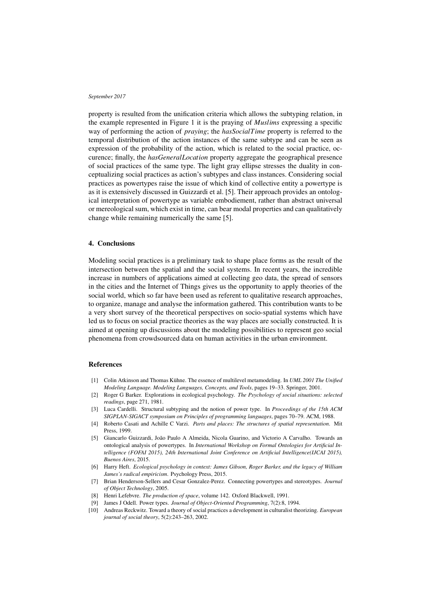property is resulted from the unification criteria which allows the subtyping relation, in the example represented in Figure 1 it is the praying of *Muslims* expressing a specific way of performing the action of *praying*; the *hasSocialTime* property is referred to the temporal distribution of the action instances of the same subtype and can be seen as expression of the probability of the action, which is related to the social practice, occurence; finally, the *hasGeneralLocation* property aggregate the geographical presence of social practices of the same type. The light gray ellipse stresses the duality in conceptualizing social practices as action's subtypes and class instances. Considering social practices as powertypes raise the issue of which kind of collective entity a powertype is as it is extensively discussed in Guizzardi et al. [5]. Their approach provides an ontological interpretation of powertype as variable embodiement, rather than abstract universal or mereological sum, which exist in time, can bear modal properties and can qualitatively change while remaining numerically the same [5].

## 4. Conclusions

Modeling social practices is a preliminary task to shape place forms as the result of the intersection between the spatial and the social systems. In recent years, the incredible increase in numbers of applications aimed at collecting geo data, the spread of sensors in the cities and the Internet of Things gives us the opportunity to apply theories of the social world, which so far have been used as referent to qualitative research approaches, to organize, manage and analyse the information gathered. This contribution wants to be a very short survey of the theoretical perspectives on socio-spatial systems which have led us to focus on social practice theories as the way places are socially constructed. It is aimed at opening up discussions about the modeling possibilities to represent geo social phenomena from crowdsourced data on human activities in the urban environment.

# References

- [1] Colin Atkinson and Thomas Kühne. The essence of multilevel metamodeling. In *UML 2001 The Unified Modeling Language. Modeling Languages, Concepts, and Tools*, pages 19–33. Springer, 2001.
- [2] Roger G Barker. Explorations in ecological psychology. *The Psychology of social situations: selected readings*, page 271, 1981.
- [3] Luca Cardelli. Structural subtyping and the notion of power type. In *Proceedings of the 15th ACM SIGPLAN-SIGACT symposium on Principles of programming languages*, pages 70–79. ACM, 1988.
- [4] Roberto Casati and Achille C Varzi. *Parts and places: The structures of spatial representation*. Mit Press, 1999.
- [5] Giancarlo Guizzardi, Joao Paulo A Almeida, Nicola Guarino, and Victorio A Carvalho. Towards an ˜ ontological analysis of powertypes. In *International Workshop on Formal Ontologies for Artificial Intelligence (FOFAI 2015), 24th International Joint Conference on Artificial Intelligence(IJCAI 2015), Buenos Aires*, 2015.
- [6] Harry Heft. *Ecological psychology in context: James Gibson, Roger Barker, and the legacy of William James's radical empiricism*. Psychology Press, 2015.
- [7] Brian Henderson-Sellers and Cesar Gonzalez-Perez. Connecting powertypes and stereotypes. *Journal of Object Technology*, 2005.
- [8] Henri Lefebvre. *The production of space*, volume 142. Oxford Blackwell, 1991.
- [9] James J Odell. Power types. *Journal of Object-Oriented Programming*, 7(2):8, 1994.
- [10] Andreas Reckwitz. Toward a theory of social practices a development in culturalist theorizing. *European journal of social theory*, 5(2):243–263, 2002.